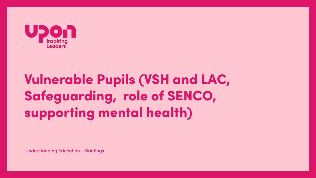

## **Vulnerable Pupils (VSH and LAC,** Safeguarding, role of SENCO, supporting mental health)

**Understanding Education - Briefings**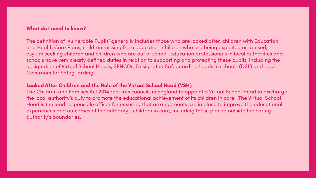## What do I need to know?

The definition of 'Vulnerable Pupils' generally includes those who are looked after, children with Education and Health Care Plans, children missing from education, children who are being exploited or abused, asylum seeking children and children who are out of school. Education professionals in local authorities and schools have very clearly defined duties in relation to supporting and protecting these pupils, including the designation of Virtual School Heads, SENCOs, Designated Safeguarding Leads in schools (DSL) and lead **Governors for Safeguarding.** 

## **Looked After Children and the Role of the Virtual School Head (VSH)**

The Children and Families Act 2014 requires councils in England to appoint a Virtual School Head to discharge the local authority's duty to promote the educational achievement of its children in care. The Virtual School Head is the lead responsible officer for ensuring that arrangements are in place to improve the educational experiences and outcomes of the authority's children in care, including those placed outside the caring authority's boundaries.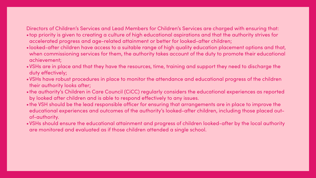## Directors of Children's Services and Lead Members for Children's Services are charged with ensuring that: •top priority is given to creating a culture of high educational aspirations and that the authority strives for accelerated progress and age-related attainment or better for looked-after children;

- 
- •looked-after children have access to a suitable range of high quality education placement options and that, when commissioning services for them, the authority takes account of the duty to promote their educational achievement;
- •VSHs are in place and that they have the resources, time, training and support they need to discharge the duty effectively;
- •VSHs have robust procedures in place to monitor the attendance and educational progress of the children their authority looks after;
- •the authority's Children in Care Council (CiCC) regularly considers the educational experiences as reported by looked after children and is able to respond effectively to any issues.
- •the VSH should be the lead responsible officer for ensuring that arrangements are in place to improve the educational experiences and outcomes of the authority's looked-after children, including those placed outof-authority.
- •VSHs should ensure the educational attainment and progress of children looked-after by the local authority are monitored and evaluated as if those children attended a single school.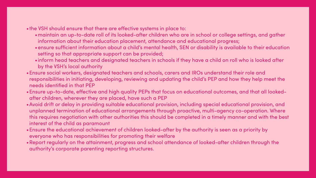## •the VSH should ensure that there are effective systems in place to:

- •maintain an up-to-date roll of its looked-after children who are in school or college settings, and gather information about their education placement, attendance and educational progress;
- •ensure sufficient information about a child's mental health, SEN or disability is available to their education setting so that appropriate support can be provided;
- •inform head teachers and designated teachers in schools if they have a child on roll who is looked after by the VSH's local authority
- •Ensure social workers, designated teachers and schools, carers and IROs understand their role and responsibilities in initiating, developing, reviewing and updating the child's PEP and how they help meet the needs identified in that PEP
- •Ensure up-to-date, effective and high quality PEPs that focus on educational outcomes, and that all lookedafter children, wherever they are placed, have such a PEP
- •Avoid drift or delay in providing suitable educational provision, including special educational provision, and unplanned termination of educational arrangements through proactive, multi-agency co-operation. Where this requires negotiation with other authorities this should be completed in a timely manner and with the best interest of the child as paramount
- •Ensure the educational achievement of children looked-after by the authority is seen as a priority by everyone who has responsibilities for promoting their welfare
- •Report regularly on the attainment, progress and school attendance of looked-after children through the authority's corporate parenting reporting structures.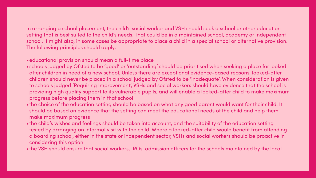In arranging a school placement, the child's social worker and VSH should seek a school or other education setting that is best suited to the child's needs. That could be in a maintained school, academy or independent school. It might also, in some cases be appropriate to place a child in a special school or alternative provision.

# The following principles should apply:

•schools judged by Ofsted to be 'good' or 'outstanding' should be prioritised when seeking a place for lookedafter children in need of a new school. Unless there are exceptional evidence-based reasons, looked-after children should never be placed in a school judged by Ofsted to be 'inadequate'. When consideration is given to schools judged 'Requiring Improvement', VSHs and social workers should have evidence that the school is providing high quality support to its vulnerable pupils, and will enable a looked-after child to make maximum

- •educational provision should mean a full-time place
- progress before placing them in that school
- make maximum progress
- considering this option
- 

•the choice of the education setting should be based on what any good parent would want for their child. It should be based on evidence that the setting can meet the educational needs of the child and help them

•the child's wishes and feelings should be taken into account, and the suitability of the education setting tested by arranging an informal visit with the child. Where a looked-after child would benefit from attending a boarding school, either in the state or independent sector, VSHs and social workers should be proactive in

•the VSH should ensure that social workers, IROs, admission officers for the schools maintained by the local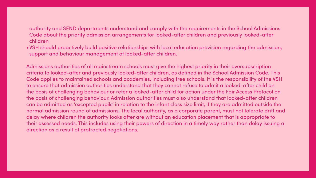authority and SEND departments understand and comply with the requirements in the School Admissions Code about the priority admission arrangements for looked-after children and previously looked-after

# children

•VSH should proactively build positive relationships with local education provision regarding the admission,

support and behaviour management of looked-after children.

Admissions authorities of all mainstream schools must give the highest priority in their oversubscription criteria to looked-after and previously looked-after children, as defined in the School Admission Code. This Code applies to maintained schools and academies, including free schools. It is the responsibility of the VSH to ensure that admission authorities understand that they cannot refuse to admit a looked-after child on the basis of challenging behaviour or refer a looked-after child for action under the Fair Access Protocol on the basis of challenging behaviour. Admission authorities must also understand that looked-after children can be admitted as 'excepted pupils' in relation to the infant class size limit, if they are admitted outside the normal admission round of admissions. The local authority, as a corporate parent, must not tolerate drift and delay where children the authority looks after are without an education placement that is appropriate to their assessed needs. This includes using their powers of direction in a timely way rather than delay issuing a direction as a result of protracted negotiations.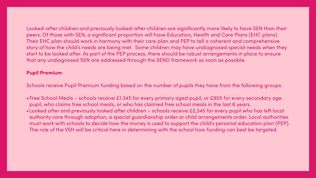Looked-after children and previously looked-after children are significantly more likely to have SEN than their peers. Of those with SEN, a significant proportion will have Education, Health and Care Plans (EHC plans). Their EHC plan should work in harmony with their care plan and PEP to tell a coherent and comprehensive story of how the child's needs are being met. Some children may have undiagnosed special needs when they start to be looked after. As part of the PEP process, there should be robust arrangements in place to ensure

# that any undiagnosed SEN are addressed through the SEND framework as soon as possible.

## Pupil Premium

Schools receive Pupil Premium funding based on the number of pupils they have from the following groups:

- pupil, who claims free school meals, or who has claimed free school meals in the last 6 years.
- 

•Free School Meals – schools receive £1.345 for every primary aged pupil, or £955 for every secondary age •Looked after and previously looked after children – schools receive £2,345 for every pupil who has left local authority care through adoption, a special guardianship order or child arrangements order. Local authorities must work with schools to decide how the money is used to support the child's personal education plan (PEP). The role of the VSH will be critical here in determining with the school how funding can best be targeted.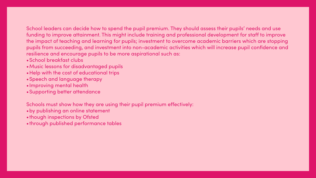School leaders can decide how to spend the pupil premium. They should assess their pupils' needs and use funding to improve attainment. This might include training and professional development for staff to improve the impact of teaching and learning for pupils; investment to overcome academic barriers which are stopping pupils from succeeding, and investment into non-academic activities which will increase pupil confidence and resilience and encourage pupils to be more aspirational such as:

- •School breakfast clubs
- •Music lessons for disadvantaged pupils
- •Help with the cost of educational trips
- •Speech and language therapy
- •Improving mental health
- •Supporting better attendance

Schools must show how they are using their pupil premium effectively:

- •by publishing an online statement
- •though inspections by Ofsted
- •through published performance tables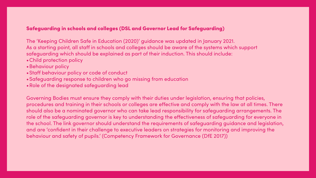## Safeguarding in schools and colleges (DSL and Governor Lead for Safeguarding)

The 'Keeping Children Safe in Education (2020)' guidance was updated in January 2021. As a starting point, all staff in schools and colleges should be aware of the systems which support safeguarding which should be explained as part of their induction. This should include:

- •Child protection policy
- •Behaviour policy
- •Staff behaviour policy or code of conduct
- •Safeguarding response to children who go missing from education
- •Role of the designated safeguarding lead

Governing Bodies must ensure they comply with their duties under legislation, ensuring that policies, procedures and training in their schools or colleges are effective and comply with the law at all times. There should also be a nominated governor who can take lead responsibility for safeguarding arrangements. The role of the safeguarding governor is key to understanding the effectiveness of safeguarding for everyone in the school. The link governor should understand the requirements of safeguarding guidance and legislation, and are 'confident in their challenge to executive leaders on strategies for monitoring and improving the behaviour and safety of pupils.' (Competency Framework for Governance (DfE 2017))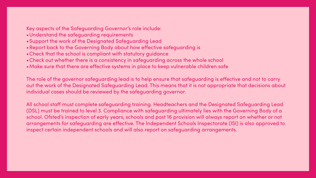## Key aspects of the Safeguarding Governor's role include:

- •Understand the safeguarding requirements
- 
- •Support the work of the Designated Safeguarding Lead •Report back to the Governing Body about how effective safeguarding is •Check that the school is compliant with statutory guidance
- 
- •Check out whether there is a consistency in safeguarding across the whole school
- •Make sure that there are effective systems in place to keep vulnerable children safe

The role of the governor safeguarding lead is to help ensure that safeguarding is effective and not to carry out the work of the Designated Safeguarding Lead. This means that it is not appropriate that decisions about individual cases should be reviewed by the safeguarding governor.

All school staff must complete safeguarding training. Headteachers and the Designated Safeguarding Lead (DSL) must be trained to level 3. Compliance with safeguarding ultimately lies with the Governing Body of a school. Ofsted's inspection of early years, schools and post 16 provision will always report on whether or not arrangements for safeguarding are effective. The Independent Schools Inspectorate (ISI) is also approved to inspect certain independent schools and will also report on safeguarding arrangements.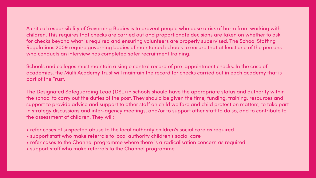A critical responsibility of Governing Bodies is to prevent people who pose a risk of harm from working with children. This requires that checks are carried out and proportionate decisions are taken on whether to ask for checks beyond what is required and ensuring volunteers are properly supervised. The School Staffing Regulations 2009 require governing bodies of maintained schools to ensure that at least one of the persons who conducts an interview has completed safer recruitment training.

Schools and colleges must maintain a single central record of pre-appointment checks. In the case of academies, the Multi Academy Trust will maintain the record for checks carried out in each academy that is part of the Trust.

The Designated Safeguarding Lead (DSL) in schools should have the appropriate status and authority within the school to carry out the duties of the post. They should be given the time, funding, training, resources and support to provide advice and support to other staff on child welfare and child protection matters, to take part in strategy discussions and inter-agency meetings, and/or to support other staff to do so, and to contribute to the assessment of children. They will:

- refer cases of suspected abuse to the local authority children's social care as required
- support staff who make referrals to local authority children's social care
- refer cases to the Channel programme where there is a radicalisation concern as required
- support staff who make referrals to the Channel programme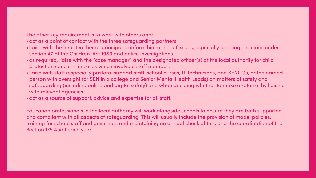The other key requirement is to work with others and: •act as a point of contact with the three safeguarding partners

- 
- •liaise with the headteacher or principal to inform him or her of issues, especially ongoing enquiries under section 47 of the Children Act 1989 and police investigations
- •as required, liaise with the "case manager" and the designated officer(s) at the local authority for child protection concerns in cases which involve a staff member;
- •liaise with staff (especially pastoral support staff, school nurses, IT Technicians, and SENCOs, or the named person with oversight for SEN in a college and Senior Mental Health Leads) on matters of safety and safeguarding (including online and digital safety) and when deciding whether to make a referral by liaising with relevant agencies
- •act as a source of support, advice and expertise for all staff.

Education professionals in the local authority will work alongside schools to ensure they are both supported and compliant with all aspects of safeguarding. This will usually include the provision of model policies, training for school staff and governors and maintaining an annual check of this, and the coordination of the Section 175 Audit each year.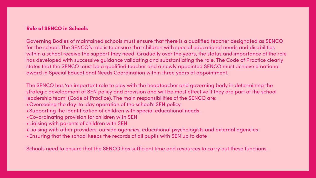## Role of SENCO in Schools

Governing Bodies of maintained schools must ensure that there is a qualified teacher designated as SENCO for the school. The SENCO's role is to ensure that children with special educational needs and disabilities within a school receive the support they need. Gradually over the years, the status and importance of the role has developed with successive guidance validating and substantiating the role. The Code of Practice clearly states that the SENCO must be a qualified teacher and a newly appointed SENCO must achieve a national award in Special Educational Needs Coordination within three years of appointment.

The SENCO has 'an important role to play with the headteacher and governing body in determining the strategic development of SEN policy and provision and will be most effective if they are part of the school leadership team' (Code of Practice). The main responsibilities of the SENCO are: •Overseeing the day-to-day operation of the school's SEN policy

- •Supporting the identification of children with special educational needs
- •Co-ordinating provision for children with SEN
- •Liaising with parents of children with SEN
- •Liaising with other providers, outside agencies, educational psychologists and external agencies
- •Ensuring that the school keeps the records of all pupils with SEN up to date

Schools need to ensure that the SENCO has sufficient time and resources to carry out these functions.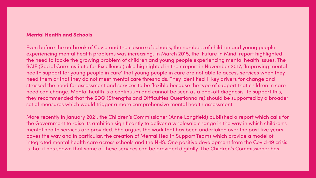## **Mental Health and Schools**

Even before the outbreak of Covid and the closure of schools, the numbers of children and young people experiencing mental health problems was increasing. In March 2015, the 'Future in Mind' report highlighted the need to tackle the growing problem of children and young people experiencing mental health issues. The SCIE (Social Care Institute for Excellence) also highlighted in their report in November 2017, 'Improving mental health support for young people in care' that young people in care are not able to access services when they need them or that they do not meet mental care thresholds. They identified 11 key drivers for change and stressed the need for assessment and services to be flexible because the type of support that children in care need can change. Mental health is a continuum and cannot be seen as a one-off diagnosis. To support this, they recommended that the SDQ (Strengths and Difficulties Questionnaire) should be supported by a broader set of measures which would trigger a more comprehensive mental health assessment.

More recently in January 2021, the Children's Commissioner (Anne Longfield) published a report which calls for the Government to raise its ambition significantly to deliver a wholesale change in the way in which children's mental health services are provided. She argues the work that has been undertaken over the past five years paves the way and in particular, the creation of Mental Health Support Teams which provide a model of integrated mental health care across schools and the NHS. One positive development from the Covid-19 crisis is that it has shown that some of these services can be provided digitally. The Children's Commissioner has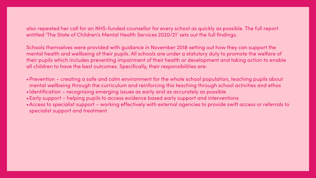also repeated her call for an NHS-funded counsellor for every school as quickly as possible. The full report entitled 'The State of Children's Mental Health Services 2020/21' sets out the full findings.

Schools themselves were provided with guidance in November 2018 setting out how they can support the mental health and wellbeing of their pupils. All schools are under a statutory duty to promote the welfare of their pupils which includes preventing impairment of their health or development and taking action to enable all children to have the best outcomes. Specifically, their responsibilities are:

•Prevention – creating a safe and calm environment for the whole school population, teaching pupils about mental wellbeing through the curriculum and reinforcing this teaching through school activities and ethos

- 
- •Identification recognising emerging issues as early and as accurately as possible
- •Early support helping pupils to access evidence based early support and interventions
- specialist support and treatment

•Access to specialist support – working effectively with external agencies to provide swift access or referrals to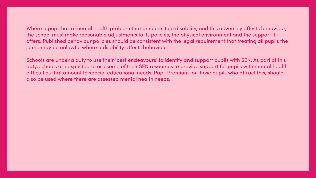Where a pupil has a mental health problem that amounts to a disability, and this adversely affects behaviour, the school must make reasonable adjustments to its policies, the physical environment and the support it offers. Published behaviour policies should be consistent with the legal requirement that treating all pupils the same may be unlawful where a disability affects behaviour.

Schools are under a duty to use their 'best endeavours' to identify and support pupils with SEN. As part of this duty, schools are expected to use some of their SEN resources to provide support for pupils with mental health difficulties that amount to special educational needs. Pupil Premium for those pupils who attract this, should also be used where there are assessed mental health needs.